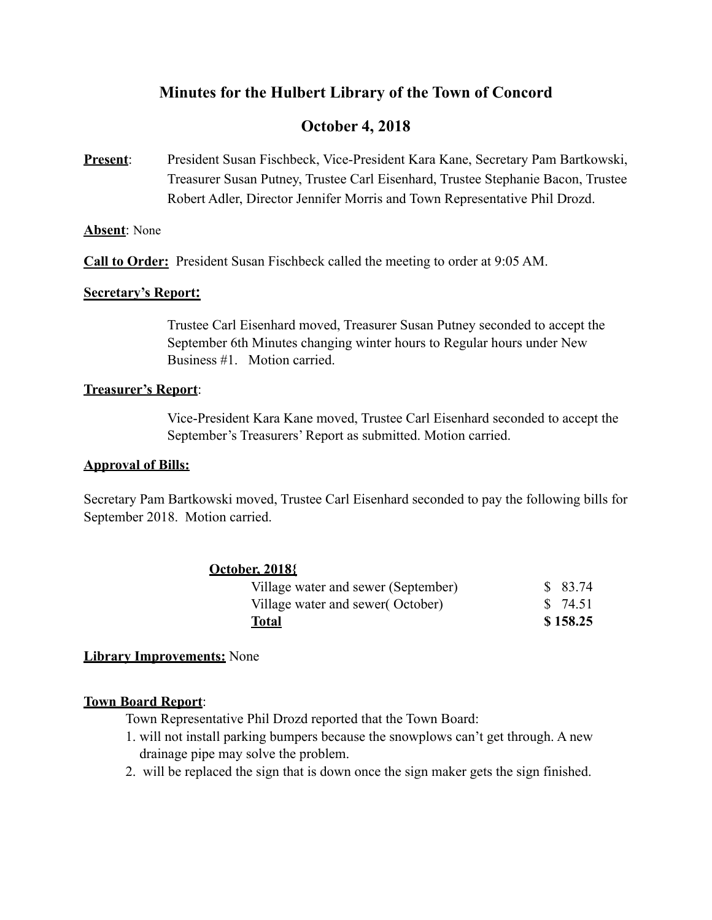# **Minutes for the Hulbert Library of the Town of Concord**

# **October 4, 2018**

**Present**: President Susan Fischbeck, Vice-President Kara Kane, Secretary Pam Bartkowski, Treasurer Susan Putney, Trustee Carl Eisenhard, Trustee Stephanie Bacon, Trustee Robert Adler, Director Jennifer Morris and Town Representative Phil Drozd.

### **Absent**: None

**Call to Order:** President Susan Fischbeck called the meeting to order at 9:05 AM.

### **Secretary's Report:**

Trustee Carl Eisenhard moved, Treasurer Susan Putney seconded to accept the September 6th Minutes changing winter hours to Regular hours under New Business #1. Motion carried.

### **Treasurer's Report**:

 Vice-President Kara Kane moved, Trustee Carl Eisenhard seconded to accept the September's Treasurers' Report as submitted. Motion carried.

### **Approval of Bills:**

Secretary Pam Bartkowski moved, Trustee Carl Eisenhard seconded to pay the following bills for September 2018. Motion carried.

## **October, 2018{**

## **Library Improvements:** None

### **Town Board Report**:

Town Representative Phil Drozd reported that the Town Board:

- 1. will not install parking bumpers because the snowplows can't get through. A new drainage pipe may solve the problem.
- 2. will be replaced the sign that is down once the sign maker gets the sign finished.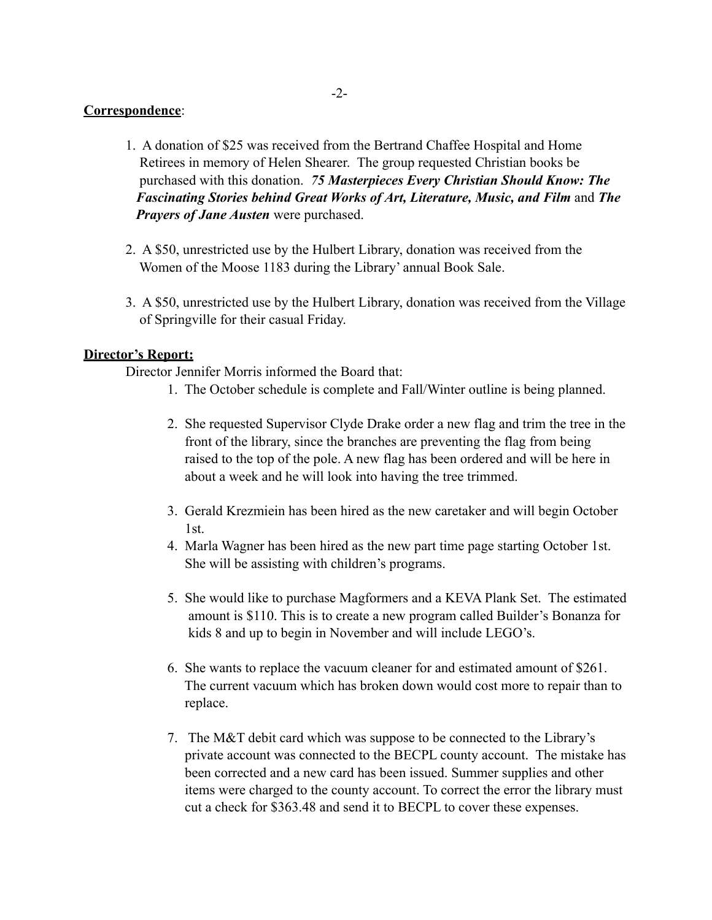### **Correspondence**:

- 1. A donation of \$25 was received from the Bertrand Chaffee Hospital and Home Retirees in memory of Helen Shearer. The group requested Christian books be purchased with this donation. *75 Masterpieces Every Christian Should Know: The Fascinating Stories behind Great Works of Art, Literature, Music, and Film* and *The Prayers of Jane Austen* were purchased.
- 2. A \$50, unrestricted use by the Hulbert Library, donation was received from the Women of the Moose 1183 during the Library' annual Book Sale.
- 3. A \$50, unrestricted use by the Hulbert Library, donation was received from the Village of Springville for their casual Friday.

### **Director's Report:**

Director Jennifer Morris informed the Board that:

- 1. The October schedule is complete and Fall/Winter outline is being planned.
- 2. She requested Supervisor Clyde Drake order a new flag and trim the tree in the front of the library, since the branches are preventing the flag from being raised to the top of the pole. A new flag has been ordered and will be here in about a week and he will look into having the tree trimmed.
- 3. Gerald Krezmiein has been hired as the new caretaker and will begin October 1st.
- 4. Marla Wagner has been hired as the new part time page starting October 1st. She will be assisting with children's programs.
- 5. She would like to purchase Magformers and a KEVA Plank Set. The estimated amount is \$110. This is to create a new program called Builder's Bonanza for kids 8 and up to begin in November and will include LEGO's.
- 6. She wants to replace the vacuum cleaner for and estimated amount of \$261. The current vacuum which has broken down would cost more to repair than to replace.
- 7. The M&T debit card which was suppose to be connected to the Library's private account was connected to the BECPL county account. The mistake has been corrected and a new card has been issued. Summer supplies and other items were charged to the county account. To correct the error the library must cut a check for \$363.48 and send it to BECPL to cover these expenses.